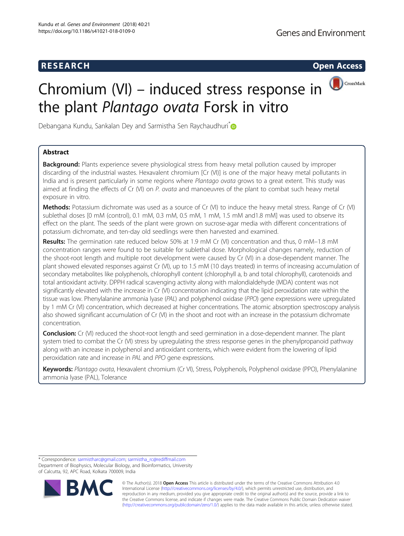## **RESEARCH CHINESEARCH CHINESEARCH CHINESE**

# CrossMark Chromium (VI) – induced stress response in the plant Plantago ovata Forsk in vitro

Debangana Kundu, Sankalan Dey and Sarmistha Sen Raychaudhuri<sup>\*</sup>

## Abstract

**Background:** Plants experience severe physiological stress from heavy metal pollution caused by improper discarding of the industrial wastes. Hexavalent chromium [Cr (VI)] is one of the major heavy metal pollutants in India and is present particularly in some regions where Plantago ovata grows to a great extent. This study was aimed at finding the effects of  $Cr(N)$  on P. ovata and manoeuvres of the plant to combat such heavy metal exposure in vitro.

Methods: Potassium dichromate was used as a source of Cr (VI) to induce the heavy metal stress. Range of Cr (VI) sublethal doses [0 mM (control), 0.1 mM, 0.3 mM, 0.5 mM, 1 mM, 1.5 mM and1.8 mM] was used to observe its effect on the plant. The seeds of the plant were grown on sucrose-agar media with different concentrations of potassium dichromate, and ten-day old seedlings were then harvested and examined.

Results: The germination rate reduced below 50% at 1.9 mM Cr (VI) concentration and thus, 0 mM-1.8 mM concentration ranges were found to be suitable for sublethal dose. Morphological changes namely, reduction of the shoot-root length and multiple root development were caused by Cr (VI) in a dose-dependent manner. The plant showed elevated responses against Cr (VI), up to 1.5 mM (10 days treated) in terms of increasing accumulation of secondary metabolites like polyphenols, chlorophyll content (chlorophyll a, b and total chlorophyll), carotenoids and total antioxidant activity. DPPH radical scavenging activity along with malondialdehyde (MDA) content was not significantly elevated with the increase in Cr (VI) concentration indicating that the lipid peroxidation rate within the tissue was low. Phenylalanine ammonia lyase (PAL) and polyphenol oxidase (PPO) gene expressions were upregulated by 1 mM Cr (VI) concentration, which decreased at higher concentrations. The atomic absorption spectroscopy analysis also showed significant accumulation of Cr (VI) in the shoot and root with an increase in the potassium dichromate concentration.

Conclusion: Cr (VI) reduced the shoot-root length and seed germination in a dose-dependent manner. The plant system tried to combat the Cr (VI) stress by upregulating the stress response genes in the phenylpropanoid pathway along with an increase in polyphenol and antioxidant contents, which were evident from the lowering of lipid peroxidation rate and increase in PAL and PPO gene expressions.

Keywords: Plantago ovata, Hexavalent chromium (Cr VI), Stress, Polyphenols, Polyphenol oxidase (PPO), Phenylalanine ammonia lyase (PAL), Tolerance

\* Correspondence: [sarmistharc@gmail.com;](mailto:sarmistharc@gmail.com) [sarmistha\\_rc@rediffmail.com](mailto:sarmistha_rc@rediffmail.com) Department of Biophysics, Molecular Biology, and Bioinformatics, University of Calcutta, 92, APC Road, Kolkata 700009, India



© The Author(s). 2018 Open Access This article is distributed under the terms of the Creative Commons Attribution 4.0 International License [\(http://creativecommons.org/licenses/by/4.0/](http://creativecommons.org/licenses/by/4.0/)), which permits unrestricted use, distribution, and reproduction in any medium, provided you give appropriate credit to the original author(s) and the source, provide a link to the Creative Commons license, and indicate if changes were made. The Creative Commons Public Domain Dedication waiver [\(http://creativecommons.org/publicdomain/zero/1.0/](http://creativecommons.org/publicdomain/zero/1.0/)) applies to the data made available in this article, unless otherwise stated.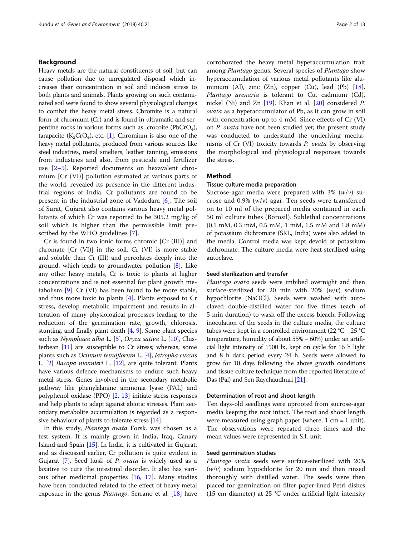## Background

Heavy metals are the natural constituents of soil, but can cause pollution due to unregulated disposal which increases their concentration in soil and induces stress to both plants and animals. Plants growing on such contaminated soil were found to show several physiological changes to combat the heavy metal stress. Chromite is a natural form of chromium (Cr) and is found in ultramafic and serpentine rocks in various forms such as, crocoite  $(\text{PbCrO}_4)$ , tarapacite ( $K_2$ CrO<sub>4</sub>), etc. [\[1](#page-11-0)]. Chromium is also one of the heavy metal pollutants, produced from various sources like steel industries, metal smelters, leather tanning, emissions from industries and also, from pesticide and fertilizer use [\[2](#page-11-0)–[5](#page-11-0)]. Reported documents on hexavalent chromium [Cr (VI)] pollution estimated at various parts of the world, revealed its presence in the different industrial regions of India. Cr pollutants are found to be present in the industrial zone of Vadodara [\[6](#page-11-0)]. The soil of Surat, Gujarat also contains various heavy metal pollutants of which Cr was reported to be 305.2 mg/kg of soil which is higher than the permissible limit prescribed by the WHO guidelines [[7\]](#page-11-0).

Cr is found in two ionic forms chromic [Cr (III)] and chromate [Cr (VI)] in the soil. Cr (VI) is more stable and soluble than Cr (III) and percolates deeply into the ground, which leads to groundwater pollution [[8\]](#page-11-0). Like any other heavy metals, Cr is toxic to plants at higher concentrations and is not essential for plant growth metabolism [\[9](#page-11-0)]. Cr (VI) has been found to be more stable, and thus more toxic to plants [[4\]](#page-11-0). Plants exposed to Cr stress, develop metabolic impairment and results in alteration of many physiological processes leading to the reduction of the germination rate, growth, chlorosis, stunting, and finally plant death [\[4,](#page-11-0) [9\]](#page-11-0). Some plant species such as Nymphaea alba L. [\[5](#page-11-0)], Oryza sativa L. [\[10\]](#page-11-0), Clusterbean [\[11\]](#page-11-0) are susceptible to Cr stress; whereas, some plants such as Ocimum tenuiflorum L. [\[4](#page-11-0)], Jatropha curcas L. [\[2\]](#page-11-0) Bacopa monnieri L. [\[12\]](#page-11-0), are quite tolerant. Plants have various defence mechanisms to endure such heavy metal stress. Genes involved in the secondary metabolic pathway like phenylalanine ammonia lyase (PAL) and polyphenol oxidase (PPO) [[2,](#page-11-0) [13\]](#page-11-0) initiate stress responses and help plants to adapt against abiotic stresses. Plant secondary metabolite accumulation is regarded as a responsive behaviour of plants to tolerate stress [[14](#page-11-0)].

In this study, Plantago ovata Forsk. was chosen as a test system. It is mainly grown in India, Iraq, Canary Island and Spain [[15\]](#page-11-0). In India, it is cultivated in Gujarat, and as discussed earlier, Cr pollution is quite evident in Gujarat [[7\]](#page-11-0). Seed husk of P. ovata is widely used as a laxative to cure the intestinal disorder. It also has various other medicinal properties [[16,](#page-11-0) [17\]](#page-11-0). Many studies have been conducted related to the effect of heavy metal exposure in the genus *Plantago*. Serrano et al. [[18](#page-11-0)] have corroborated the heavy metal hyperaccumulation trait among Plantago genus. Several species of Plantago show hyperaccumulation of various metal pollutants like aluminium (Al), zinc  $(Zn)$ , copper  $(Cu)$ , lead  $(Pb)$  [\[18](#page-11-0)]. Plantago arenaria is tolerant to Cu, cadmium (Cd), nickel (Ni) and Zn  $[19]$  $[19]$ . Khan et al.  $[20]$  $[20]$  considered P. ovata as a hyperaccumulator of Pb, as it can grow in soil with concentration up to 4 mM. Since effects of Cr (VI) on P. ovata have not been studied yet; the present study was conducted to understand the underlying mechanisms of Cr (VI) toxicity towards P. ovata by observing the morphological and physiological responses towards the stress.

## Method

## Tissue culture media preparation

Sucrose-agar media were prepared with  $3\%$  ( $w/v$ ) sucrose and 0.9% (w/v) agar. Ten seeds were transferred on to 10 ml of the prepared media contained in each 50 ml culture tubes (Borosil). Sublethal concentrations (0.1 mM, 0.3 mM, 0.5 mM, 1 mM, 1.5 mM and 1.8 mM) of potassium dichromate (SRL, India) were also added in the media. Control media was kept devoid of potassium dichromate. The culture media were heat-sterilized using autoclave.

## Seed sterilization and transfer

Plantago ovata seeds were imbibed overnight and then surface-sterilized for 20 min with 20%  $(w/v)$  sodium hypochlorite (NaOCl). Seeds were washed with autoclaved double-distilled water for five times (each of 5 min duration) to wash off the excess bleach. Following inoculation of the seeds in the culture media, the culture tubes were kept in a controlled environment (22 °C − 25 °C temperature, humidity of about 55% − 60%) under an artificial light intensity of 1500 lx, kept on cycle for 16 h light and 8 h dark period every 24 h. Seeds were allowed to grow for 10 days following the above growth conditions and tissue culture technique from the reported literature of Das (Pal) and Sen Raychaudhuri [[21](#page-11-0)].

## Determination of root and shoot length

Ten days-old seedlings were uprooted from sucrose-agar media keeping the root intact. The root and shoot length were measured using graph paper (where,  $1 \text{ cm} = 1 \text{ unit}$ ). The observations were repeated three times and the mean values were represented in S.I. unit.

## Seed germination studies

Plantago ovata seeds were surface-sterilized with 20%  $(w/v)$  sodium hypochlorite for 20 min and then rinsed thoroughly with distilled water. The seeds were then placed for germination on filter paper-lined Petri dishes (15 cm diameter) at 25 °C under artificial light intensity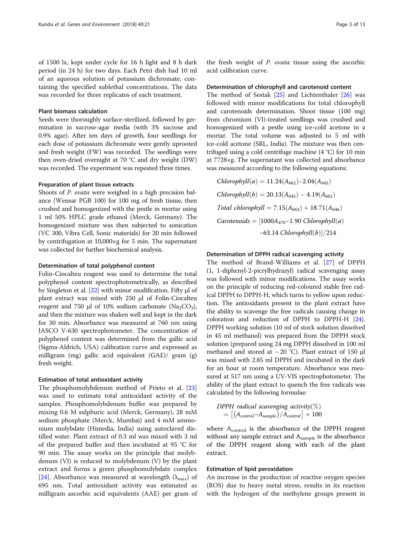of 1500 lx, kept under cycle for 16 h light and 8 h dark period (in 24 h) for two days. Each Petri dish had 10 ml of an aqueous solution of potassium dichromate, containing the specified sublethal concentrations. The data was recorded for three replicates of each treatment.

## Plant biomass calculation

Seeds were thoroughly surface-sterilized, followed by germination in sucrose-agar media (with 3% sucrose and 0.9% agar). After ten days of growth, four seedlings for each dose of potassium dichromate were gently uprooted and fresh weight (FW) was recorded. The seedlings were then oven-dried overnight at 70 °C and dry weight (DW) was recorded. The experiment was repeated three times.

## Preparation of plant tissue extracts

Shoots of *P. ovata* were weighed in a high precision balance (Wensar PGB 100) for 100 mg of fresh tissue, then crushed and homogenized with the pestle in mortar using 1 ml 50% HPLC grade ethanol (Merck, Germany). The homogenized mixture was then subjected to sonication (VC 300, Vibra Cell, Sonic materials) for 20 min followed by centrifugation at 10,000×g for 5 min. The supernatant was collected for further biochemical analysis.

#### Determination of total polyphenol content

Folin-Ciocalteu reagent was used to determine the total polyphenol content spectrophotometrically, as described by Singleton et al. [[22](#page-11-0)] with minor modification. Fifty μl of plant extract was mixed with 250 μl of Folin-Ciocalteu reagent and 750 μl of 10% sodium carbonate (Na<sub>2</sub>CO<sub>3</sub>), and then the mixture was shaken well and kept in the dark for 30 min. Absorbance was measured at 760 nm using JASCO V-630 spectrophotometer. The concentration of polyphenol content was determined from the gallic acid (Sigma-Aldrich, USA) calibration curve and expressed as milligram (mg) gallic acid equivalent (GAE)/ gram (g) fresh weight.

#### Estimation of total antioxidant activity

The phosphomolybdenum method of Prieto et al. [[23](#page-11-0)] was used to estimate total antioxidant activity of the samples. Phosphomolybdenum buffer was prepared by mixing 0.6 M sulphuric acid (Merck, Germany), 28 mM sodium phosphate (Merck, Mumbai) and 4 mM ammonium molybdate (Himedia, India) using autoclaved distilled water. Plant extract of 0.3 ml was mixed with 3 ml of the prepared buffer and then incubated at 95 °C for 90 min. The assay works on the principle that molybdenum (VI) is reduced to molybdenum (V) by the plant extract and forms a green phosphomolybdate complex [[24\]](#page-11-0). Absorbance was measured at wavelength  $(\lambda_{\text{max}})$  of 695 nm. Total antioxidant activity was estimated as milligram ascorbic acid equivalents (AAE) per gram of

the fresh weight of P. ovata tissue using the ascorbic acid calibration curve.

#### Determination of chlorophyll and carotenoid content

The method of Sestak [\[25\]](#page-11-0) and Lichtenthaler [[26\]](#page-11-0) was followed with minor modifications for total chlorophyll and carotenoids determination. Shoot tissue (100 mg) from chromium (VI)-treated seedlings was crushed and homogenized with a pestle using ice-cold acetone in a mortar. The total volume was adjusted to 5 ml with ice-cold acetone (SRL, India). The mixture was then centrifuged using a cold centrifuge machine (4 °C) for 10 min at 7728×g. The supernatant was collected and absorbance was measured according to the following equations:

 $Chlorophyll (a) = 11.24(A<sub>662</sub>) - 2.04(A<sub>645</sub>)$  $Chlorophyll(b) = 20.13(A_{645}) - 4.19(A_{662})$ Total chlorophyll =  $7.15(A_{663}) + 18.71(A_{646})$  $Carotenoids = [1000A_{470}-1.90 Chlorophyll (a)$  $-63.14 Chlorophyll(b)]/214$ 

## Determination of DPPH radical scavenging activity

The method of Brand-Williams et al. [\[27](#page-11-0)] of DPPH (1, 1-diphenyl-2-picrylhydrazyl) radical scavenging assay was followed with minor modifications. The assay works on the principle of reducing red-coloured stable free radical DPPH to DPPH-H, which turns to yellow upon reduction. The antioxidants present in the plant extract have the ability to scavenge the free radicals causing change in coloration and reduction of DPPH to DPPH-H [[24](#page-11-0)]. DPPH working solution (10 ml of stock solution dissolved in 45 ml methanol) was prepared from the DPPH stock solution (prepared using 24 mg DPPH dissolved in 100 ml methanol and stored at − 20 °C). Plant extract of 150 μl was mixed with 2.85 ml DPPH and incubated in the dark for an hour at room temperature. Absorbance was measured at 517 nm using a UV-VIS spectrophotometer. The ability of the plant extract to quench the free radicals was calculated by the following formulae:

*DPPH radical scavenging activity*(%)  
= 
$$
[(A_{control}-A_{sample})/A_{control}] \times 100
$$

where  $A_{control}$  is the absorbance of the DPPH reagent without any sample extract and  $A_{sample}$  is the absorbance of the DPPH reagent along with each of the plant extract.

#### Estimation of lipid peroxidation

An increase in the production of reactive oxygen species (ROS) due to heavy metal stress, results in its reaction with the hydrogen of the methylene groups present in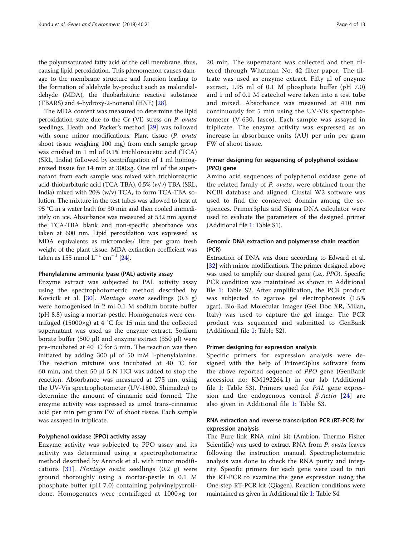the polyunsaturated fatty acid of the cell membrane, thus, causing lipid peroxidation. This phenomenon causes damage to the membrane structure and function leading to the formation of aldehyde by-product such as malondialdehyde (MDA), the thiobarbituric reactive substance (TBARS) and 4-hydroxy-2-nonenal (HNE) [\[28\]](#page-11-0).

The MDA content was measured to determine the lipid peroxidation state due to the Cr (VI) stress on P. ovata seedlings. Heath and Packer's method [[29](#page-11-0)] was followed with some minor modifications. Plant tissue (P. ovata shoot tissue weighing 100 mg) from each sample group was crushed in 1 ml of 0.1% trichloroacetic acid (TCA) (SRL, India) followed by centrifugation of 1 ml homogenized tissue for 14 min at 300×g. One ml of the supernatant from each sample was mixed with trichloroacetic acid-thiobarbituric acid (TCA-TBA), 0.5% (w/v) TBA (SRL, India) mixed with 20% (w/v) TCA, to form TCA-TBA solution. The mixture in the test tubes was allowed to heat at 95 °C in a water bath for 30 min and then cooled immediately on ice. Absorbance was measured at 532 nm against the TCA-TBA blank and non-specific absorbance was taken at 600 nm. Lipid peroxidation was expressed as MDA equivalents as micromoles/ litre per gram fresh weight of the plant tissue. MDA extinction coefficient was taken as 155 mmol L<sup>-1</sup> cm<sup>-1</sup> [[24](#page-11-0)].

## Phenylalanine ammonia lyase (PAL) activity assay

Enzyme extract was subjected to PAL activity assay using the spectrophotometric method described by Kovácik et al. [[30\]](#page-11-0). Plantago ovata seedlings (0.3 g) were homogenised in 2 ml 0.1 M sodium borate buffer (pH 8.8) using a mortar-pestle. Homogenates were centrifuged (15000×g) at  $4$  °C for 15 min and the collected supernatant was used as the enzyme extract. Sodium borate buffer (500 μl) and enzyme extract (350 μl) were pre-incubated at 40 °C for 5 min. The reaction was then initiated by adding 300 μl of 50 mM l-phenylalanine. The reaction mixture was incubated at 40 °C for 60 min, and then 50 μl 5 N HCl was added to stop the reaction. Absorbance was measured at 275 nm, using the UV-Vis spectrophotometer (UV-1800, Shimadzu) to determine the amount of cinnamic acid formed. The enzyme activity was expressed as μmol trans-cinnamic acid per min per gram FW of shoot tissue. Each sample was assayed in triplicate.

## Polyphenol oxidase (PPO) activity assay

Enzyme activity was subjected to PPO assay and its activity was determined using a spectrophotometric method described by Arnnok et al. with minor modifications [[31](#page-11-0)]. Plantago ovata seedlings (0.2 g) were ground thoroughly using a mortar-pestle in 0.1 M phosphate buffer (pH 7.0) containing polyvinylpyrrolidone. Homogenates were centrifuged at 1000×g for 20 min. The supernatant was collected and then filtered through Whatman No. 42 filter paper. The filtrate was used as enzyme extract. Fifty μl of enzyme extract, 1.95 ml of 0.1 M phosphate buffer (pH 7.0) and 1 ml of 0.1 M catechol were taken into a test tube and mixed. Absorbance was measured at 410 nm continuously for 5 min using the UV-Vis spectrophotometer (V-630, Jasco). Each sample was assayed in triplicate. The enzyme activity was expressed as an increase in absorbance units (AU) per min per gram FW of shoot tissue.

## Primer designing for sequencing of polyphenol oxidase (PPO) gene

Amino acid sequences of polyphenol oxidase gene of the related family of P. ovata, were obtained from the NCBI database and aligned. Clustal W2 software was used to find the conserved domain among the sequences. Primer3plus and Sigma DNA calculator were used to evaluate the parameters of the designed primer (Additional file [1](#page-10-0): Table S1).

## Genomic DNA extraction and polymerase chain reaction (PCR)

Extraction of DNA was done according to Edward et al. [[32](#page-11-0)] with minor modifications. The primer designed above was used to amplify our desired gene (i.e., PPO). Specific PCR condition was maintained as shown in Additional file [1](#page-10-0): Table S2. After amplification, the PCR product was subjected to agarose gel electrophoresis (1.5% agar). Bio-Rad Molecular Imager (Gel Doc XR, Milan, Italy) was used to capture the gel image. The PCR product was sequenced and submitted to GenBank (Additional file [1:](#page-10-0) Table S2).

## Primer designing for expression analysis

Specific primers for expression analysis were designed with the help of Primer3plus software from the above reported sequence of PPO gene (GenBank accession no: KM192264.1) in our lab (Additional file [1:](#page-10-0) Table S3). Primers used for PAL gene expression and the endogenous control  $β$ -Actin [[24](#page-11-0)] are also given in Additional file [1](#page-10-0): Table S3.

## RNA extraction and reverse transcription PCR (RT-PCR) for expression analysis

The Pure link RNA mini kit (Ambion, Thermo Fisher Scientific) was used to extract RNA from *P. ovata* leaves following the instruction manual. Spectrophotometric analysis was done to check the RNA purity and integrity. Specific primers for each gene were used to run the RT-PCR to examine the gene expression using the One-step RT-PCR kit (Qiagen). Reaction conditions were maintained as given in Additional file [1:](#page-10-0) Table S4.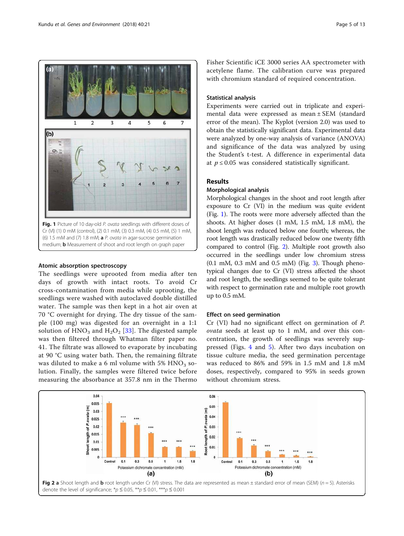<span id="page-4-0"></span>

#### Atomic absorption spectroscopy

The seedlings were uprooted from media after ten days of growth with intact roots. To avoid Cr cross-contamination from media while uprooting, the seedlings were washed with autoclaved double distilled water. The sample was then kept in a hot air oven at 70 °C overnight for drying. The dry tissue of the sample (100 mg) was digested for an overnight in a 1:1 solution of  $HNO<sub>3</sub>$  and  $H<sub>2</sub>O<sub>2</sub>$  [\[33\]](#page-11-0). The digested sample was then filtered through Whatman filter paper no. 41. The filtrate was allowed to evaporate by incubating at 90 °C using water bath. Then, the remaining filtrate was diluted to make a 6 ml volume with  $5\%$  HNO<sub>3</sub> solution. Finally, the samples were filtered twice before measuring the absorbance at 357.8 nm in the Thermo

Fisher Scientific iCE 3000 series AA spectrometer with acetylene flame. The calibration curve was prepared with chromium standard of required concentration.

#### Statistical analysis

Experiments were carried out in triplicate and experimental data were expressed as mean ± SEM (standard error of the mean). The Kyplot (version 2.0) was used to obtain the statistically significant data. Experimental data were analyzed by one-way analysis of variance (ANOVA) and significance of the data was analyzed by using the Student's t-test. A difference in experimental data at  $p \leq 0.05$  was considered statistically significant.

## Results

## Morphological analysis

Morphological changes in the shoot and root length after exposure to Cr (VI) in the medium was quite evident (Fig. 1). The roots were more adversely affected than the shoots. At higher doses (1 mM, 1.5 mM, 1.8 mM), the shoot length was reduced below one fourth; whereas, the root length was drastically reduced below one twenty fifth compared to control (Fig. 2). Multiple root growth also occurred in the seedlings under low chromium stress  $(0.1 \text{ mM}, 0.3 \text{ mM}$  and  $0.5 \text{ mM})$  (Fig. [3\)](#page-5-0). Though phenotypical changes due to Cr (VI) stress affected the shoot and root length, the seedlings seemed to be quite tolerant with respect to germination rate and multiple root growth up to 0.5 mM.

## Effect on seed germination

Cr (VI) had no significant effect on germination of P. ovata seeds at least up to 1 mM, and over this concentration, the growth of seedlings was severely suppressed (Figs. [4](#page-5-0) and [5\)](#page-6-0). After two days incubation on tissue culture media, the seed germination percentage was reduced to 86% and 59% in 1.5 mM and 1.8 mM doses, respectively, compared to 95% in seeds grown without chromium stress.

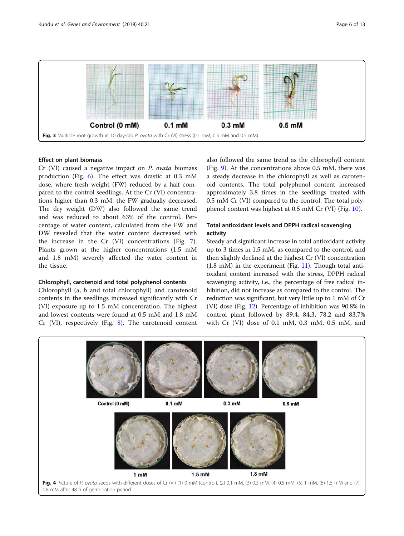<span id="page-5-0"></span>

## Effect on plant biomass

Cr (VI) caused a negative impact on P. ovata biomass production (Fig. [6](#page-6-0)). The effect was drastic at 0.3 mM dose, where fresh weight (FW) reduced by a half compared to the control seedlings. At the Cr (VI) concentrations higher than 0.3 mM, the FW gradually decreased. The dry weight (DW) also followed the same trend and was reduced to about 63% of the control. Percentage of water content, calculated from the FW and DW revealed that the water content decreased with the increase in the Cr (VI) concentrations (Fig. [7](#page-7-0)). Plants grown at the higher concentrations (1.5 mM and 1.8 mM) severely affected the water content in the tissue.

#### Chlorophyll, carotenoid and total polyphenol contents

Chlorophyll (a, b and total chlorophyll) and carotenoid contents in the seedlings increased significantly with Cr (VI) exposure up to 1.5 mM concentration. The highest and lowest contents were found at 0.5 mM and 1.8 mM Cr (VI), respectively (Fig. [8\)](#page-7-0). The carotenoid content also followed the same trend as the chlorophyll content (Fig. [9\)](#page-7-0). At the concentrations above 0.5 mM, there was a steady decrease in the chlorophyll as well as carotenoid contents. The total polyphenol content increased approximately 3.8 times in the seedlings treated with 0.5 mM Cr (VI) compared to the control. The total polyphenol content was highest at 0.5 mM Cr (VI) (Fig. [10\)](#page-7-0).

## Total antioxidant levels and DPPH radical scavenging activity

Steady and significant increase in total antioxidant activity up to 3 times in 1.5 mM, as compared to the control, and then slightly declined at the highest Cr (VI) concentration (1.8 mM) in the experiment (Fig. [11](#page-8-0)). Though total antioxidant content increased with the stress, DPPH radical scavenging activity, i.e., the percentage of free radical inhibition, did not increase as compared to the control. The reduction was significant, but very little up to 1 mM of Cr (VI) dose (Fig. [12](#page-8-0)). Percentage of inhibition was 90.8% in control plant followed by 89.4, 84.3, 78.2 and 83.7% with Cr (VI) dose of 0.1 mM, 0.3 mM, 0.5 mM, and

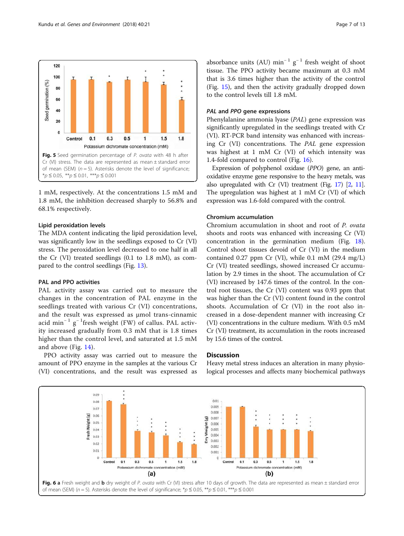<span id="page-6-0"></span>

1 mM, respectively. At the concentrations 1.5 mM and 1.8 mM, the inhibition decreased sharply to 56.8% and 68.1% respectively.

## Lipid peroxidation levels

The MDA content indicating the lipid peroxidation level, was significantly low in the seedlings exposed to Cr (VI) stress. The peroxidation level decreased to one half in all the Cr (VI) treated seedlings (0.1 to 1.8 mM), as compared to the control seedlings (Fig. [13](#page-8-0)).

## PAL and PPO activities

PAL activity assay was carried out to measure the changes in the concentration of PAL enzyme in the seedlings treated with various Cr (VI) concentrations, and the result was expressed as μmol trans-cinnamic acid min<sup>−</sup> <sup>1</sup> g − 1 fresh weight (FW) of callus. PAL activity increased gradually from 0.3 mM that is 1.8 times higher than the control level, and saturated at 1.5 mM and above (Fig. [14](#page-8-0)).

PPO activity assay was carried out to measure the amount of PPO enzyme in the samples at the various Cr (VI) concentrations, and the result was expressed as

absorbance units (AU)  $min^{-1} g^{-1}$  fresh weight of shoot tissue. The PPO activity became maximum at 0.3 mM that is 3.6 times higher than the activity of the control (Fig. [15](#page-9-0)), and then the activity gradually dropped down to the control levels till 1.8 mM.

## PAL and PPO gene expressions

Phenylalanine ammonia lyase (PAL) gene expression was significantly upregulated in the seedlings treated with Cr (VI). RT-PCR band intensity was enhanced with increasing Cr (VI) concentrations. The PAL gene expression was highest at 1 mM Cr (VI) of which intensity was 1.4-fold compared to control (Fig. [16\)](#page-9-0).

Expression of polyphenol oxidase (PPO) gene, an antioxidative enzyme gene responsive to the heavy metals, was also upregulated with Cr (VI) treatment (Fig. [17\)](#page-9-0) [\[2,](#page-11-0) [11](#page-11-0)]. The upregulation was highest at 1 mM Cr (VI) of which expression was 1.6-fold compared with the control.

## Chromium accumulation

Chromium accumulation in shoot and root of P. ovata shoots and roots was enhanced with increasing Cr (VI) concentration in the germination medium (Fig. [18](#page-10-0)). Control shoot tissues devoid of Cr (VI) in the medium contained 0.27 ppm Cr (VI), while 0.1 mM (29.4 mg/L) Cr (VI) treated seedlings, showed increased Cr accumulation by 2.9 times in the shoot. The accumulation of Cr (VI) increased by 147.6 times of the control. In the control root tissues, the Cr (VI) content was 0.93 ppm that was higher than the Cr (VI) content found in the control shoots. Accumulation of Cr (VI) in the root also increased in a dose-dependent manner with increasing Cr (VI) concentrations in the culture medium. With 0.5 mM Cr (VI) treatment, its accumulation in the roots increased by 15.6 times of the control.

## **Discussion**

Heavy metal stress induces an alteration in many physiological processes and affects many biochemical pathways

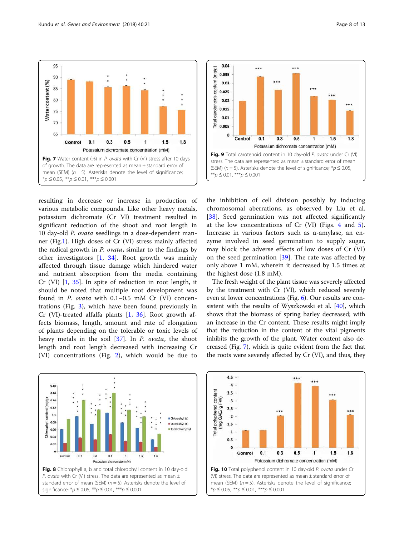<span id="page-7-0"></span>

resulting in decrease or increase in production of various metabolic compounds. Like other heavy metals, potassium dichromate (Cr VI) treatment resulted in significant reduction of the shoot and root length in 10 day-old P. ovata seedlings in a dose-dependent manner (Fig.[1](#page-4-0)). High doses of Cr (VI) stress mainly affected the radical growth in P. ovata, similar to the findings by other investigators [\[1](#page-11-0), [34](#page-11-0)]. Root growth was mainly affected through tissue damage which hindered water and nutrient absorption from the media containing Cr (VI) [\[1](#page-11-0), [35\]](#page-11-0). In spite of reduction in root length, it should be noted that multiple root development was found in P. ovata with 0.1–0.5 mM Cr (VI) concentrations (Fig. [3\)](#page-5-0), which have been found previously in Cr (VI)-treated alfalfa plants [[1,](#page-11-0) [36\]](#page-11-0). Root growth affects biomass, length, amount and rate of elongation of plants depending on the tolerable or toxic levels of heavy metals in the soil [\[37](#page-11-0)]. In P. ovata, the shoot length and root length decreased with increasing Cr (VI) concentrations (Fig. [2\)](#page-4-0), which would be due to





the inhibition of cell division possibly by inducing chromosomal aberrations, as observed by Liu et al. [[38\]](#page-12-0). Seed germination was not affected significantly at the low concentrations of Cr (VI) (Figs. [4](#page-5-0) and [5](#page-6-0)). Increase in various factors such as α-amylase, an enzyme involved in seed germination to supply sugar, may block the adverse effects of low doses of Cr (VI) on the seed germination [[39](#page-12-0)]. The rate was affected by only above 1 mM, wherein it decreased by 1.5 times at the highest dose (1.8 mM).

The fresh weight of the plant tissue was severely affected by the treatment with Cr (VI), which reduced severely even at lower concentrations (Fig. [6\)](#page-6-0). Our results are consistent with the results of Wyszkowski et al. [[40](#page-12-0)], which shows that the biomass of spring barley decreased; with an increase in the Cr content. These results might imply that the reduction in the content of the vital pigments inhibits the growth of the plant. Water content also decreased (Fig. 7), which is quite evident from the fact that the roots were severely affected by Cr (VI), and thus, they

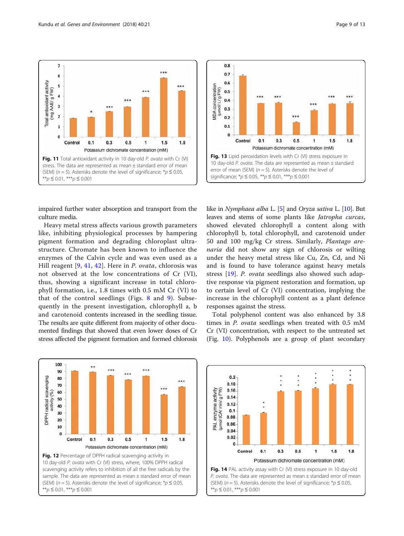<span id="page-8-0"></span>

impaired further water absorption and transport from the culture media.

Heavy metal stress affects various growth parameters like, inhibiting physiological processes by hampering pigment formation and degrading chloroplast ultrastructure. Chromate has been known to influence the enzymes of the Calvin cycle and was even used as a Hill reagent  $[9, 41, 42]$  $[9, 41, 42]$  $[9, 41, 42]$  $[9, 41, 42]$  $[9, 41, 42]$  $[9, 41, 42]$ . Here in *P. ovata*, chlorosis was not observed at the low concentrations of Cr (VI), thus, showing a significant increase in total chlorophyll formation, i.e., 1.8 times with 0.5 mM Cr (VI) to that of the control seedlings (Figs.  $8$  and  $9$ ). Subsequently in the present investigation, chlorophyll a, b and carotenoid contents increased in the seedling tissue. The results are quite different from majority of other documented findings that showed that even lower doses of Cr stress affected the pigment formation and formed chlorosis



like in Nymphaea alba L. [\[5\]](#page-11-0) and Oryza sativa L. [\[10\]](#page-11-0). But leaves and stems of some plants like Jatropha curcas, showed elevated chlorophyll a content along with chlorophyll b, total chlorophyll, and carotenoid under 50 and 100 mg/kg Cr stress. Similarly, Plantago arenaria did not show any sign of chlorosis or wilting under the heavy metal stress like Cu, Zn, Cd, and Ni and is found to have tolerance against heavy metals stress [\[19](#page-11-0)]. P. ovata seedlings also showed such adaptive response via pigment restoration and formation, up to certain level of Cr (VI) concentration, implying the increase in the chlorophyll content as a plant defence responses against the stress.

Total polyphenol content was also enhanced by 3.8 times in P. ovata seedlings when treated with 0.5 mM Cr (VI) concentration, with respect to the untreated set (Fig. [10](#page-7-0)). Polyphenols are a group of plant secondary





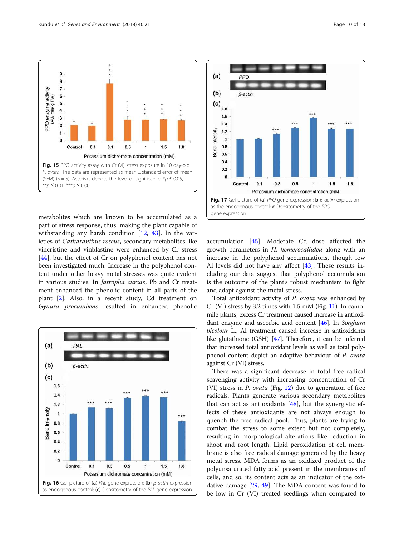<span id="page-9-0"></span>

metabolites which are known to be accumulated as a part of stress response, thus, making the plant capable of withstanding any harsh condition [[12,](#page-11-0) [43](#page-12-0)]. In the varieties of Catharanthus roseus, secondary metabolites like vincristine and vinblastine were enhanced by Cr stress [[44\]](#page-12-0), but the effect of Cr on polyphenol content has not been investigated much. Increase in the polyphenol content under other heavy metal stresses was quite evident in various studies. In Jatropha curcas, Pb and Cr treatment enhanced the phenolic content in all parts of the plant [[2\]](#page-11-0). Also, in a recent study, Cd treatment on Gynura procumbens resulted in enhanced phenolic





accumulation [[45\]](#page-12-0). Moderate Cd dose affected the growth parameters in H. hemerocallidea along with an increase in the polyphenol accumulations, though low Al levels did not have any affect  $[43]$  $[43]$ . These results including our data suggest that polyphenol accumulation is the outcome of the plant's robust mechanism to fight and adapt against the metal stress.

Total antioxidant activity of P. ovata was enhanced by Cr (VI) stress by 3.2 times with 1.5 mM (Fig. [11\)](#page-8-0). In camomile plants, excess Cr treatment caused increase in antioxidant enzyme and ascorbic acid content [[46](#page-12-0)]. In Sorghum bicolour L., Al treatment caused increase in antioxidants like glutathione (GSH) [\[47](#page-12-0)]. Therefore, it can be inferred that increased total antioxidant levels as well as total polyphenol content depict an adaptive behaviour of P. ovata against Cr (VI) stress.

There was a significant decrease in total free radical scavenging activity with increasing concentration of Cr (VI) stress in P. ovata (Fig. [12](#page-8-0)) due to generation of free radicals. Plants generate various secondary metabolites that can act as antioxidants [[48\]](#page-12-0), but the synergistic effects of these antioxidants are not always enough to quench the free radical pool. Thus, plants are trying to combat the stress to some extent but not completely, resulting in morphological alterations like reduction in shoot and root length. Lipid peroxidation of cell membrane is also free radical damage generated by the heavy metal stress. MDA forms as an oxidized product of the polyunsaturated fatty acid present in the membranes of cells, and so, its content acts as an indicator of the oxidative damage [\[29](#page-11-0), [49](#page-12-0)]. The MDA content was found to be low in Cr (VI) treated seedlings when compared to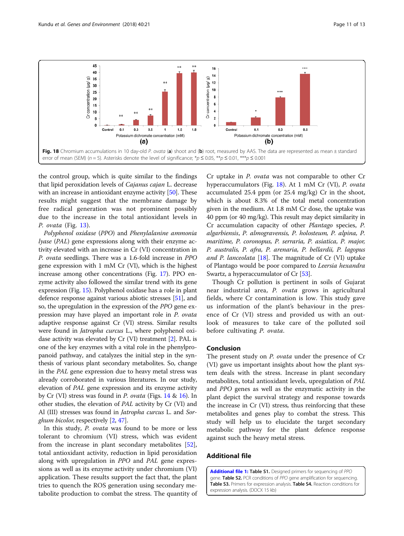<span id="page-10-0"></span>

the control group, which is quite similar to the findings that lipid peroxidation levels of Cajanus cajan L. decrease with an increase in antioxidant enzyme activity [\[50\]](#page-12-0). These results might suggest that the membrane damage by free radical generation was not prominent possibly due to the increase in the total antioxidant levels in P. ovata (Fig. [13\)](#page-8-0).

Polyphenol oxidase (PPO) and Phenylalanine ammonia lyase (PAL) gene expressions along with their enzyme activity elevated with an increase in Cr (VI) concentration in P. ovata seedlings. There was a 1.6-fold increase in PPO gene expression with 1 mM Cr (VI), which is the highest increase among other concentrations (Fig. [17](#page-9-0)). PPO enzyme activity also followed the similar trend with its gene expression (Fig. [15](#page-9-0)). Polyphenol oxidase has a role in plant defence response against various abiotic stresses [[51](#page-12-0)], and so, the upregulation in the expression of the PPO gene expression may have played an important role in P. ovata adaptive response against Cr (VI) stress. Similar results were found in Jatropha curcus L., where polyphenol oxidase activity was elevated by Cr (VI) treatment [\[2](#page-11-0)]. PAL is one of the key enzymes with a vital role in the phenylpropanoid pathway, and catalyzes the initial step in the synthesis of various plant secondary metabolites. So, change in the PAL gene expression due to heavy metal stress was already corroborated in various literatures. In our study, elevation of PAL gene expression and its enzyme activity by Cr (VI) stress was found in P. ovata (Figs. [14](#page-8-0) & [16\)](#page-9-0). In other studies, the elevation of PAL activity by Cr (VI) and Al (III) stresses was found in Jatropha curcus L. and Sorghum bicolor, respectively [[2](#page-11-0), [47\]](#page-12-0).

In this study, P. ovata was found to be more or less tolerant to chromium (VI) stress, which was evident from the increase in plant secondary metabolites [\[52](#page-12-0)], total antioxidant activity, reduction in lipid peroxidation along with upregulation in PPO and PAL gene expressions as well as its enzyme activity under chromium (VI) application. These results support the fact that, the plant tries to quench the ROS generation using secondary metabolite production to combat the stress. The quantity of

Cr uptake in P. ovata was not comparable to other Cr hyperaccumulators (Fig. 18). At 1 mM Cr (VI), P. ovata accumulated 25.4 ppm (or 25.4 mg/kg) Cr in the shoot, which is about 8.3% of the total metal concentration given in the medium. At 1.8 mM Cr dose, the uptake was 40 ppm (or 40 mg/kg). This result may depict similarity in Cr accumulation capacity of other Plantago species, P. algarbiensis, P. almogravensis, P. holosteum, P. alpina, P. maritime, P. coronopus, P. serraria, P. asiatica, P. major, P. australis, P. afra, P. arenaria, P. bellardii, P. lagopus and P. lanceolata  $[18]$ . The magnitude of Cr (VI) uptake of Plantago would be poor compared to Leersia hexandra Swartz, a hyperaccumulator of Cr [[53\]](#page-12-0).

Though Cr pollution is pertinent in soils of Gujarat near industrial area, P. ovata grows in agricultural fields, where Cr contamination is low. This study gave us information of the plant's behaviour in the presence of Cr (VI) stress and provided us with an outlook of measures to take care of the polluted soil before cultivating P. ovata.

## Conclusion

The present study on P. ovata under the presence of Cr (VI) gave us important insights about how the plant system deals with the stress. Increase in plant secondary metabolites, total antioxidant levels, upregulation of PAL and PPO genes as well as the enzymatic activity in the plant depict the survival strategy and response towards the increase in Cr (VI) stress, thus reinforcing that these metabolites and genes play to combat the stress. This study will help us to elucidate the target secondary metabolic pathway for the plant defence response against such the heavy metal stress.

## Additional file

[Additional file 1:](https://doi.org/10.1186/s41021-018-0109-0) Table S1. Designed primers for sequencing of PPO gene. Table S2. PCR conditions of PPO gene amplification for sequencing. Table S3. Primers for expression analysis. Table S4. Reaction conditions for expression analysis. (DOCX 15 kb)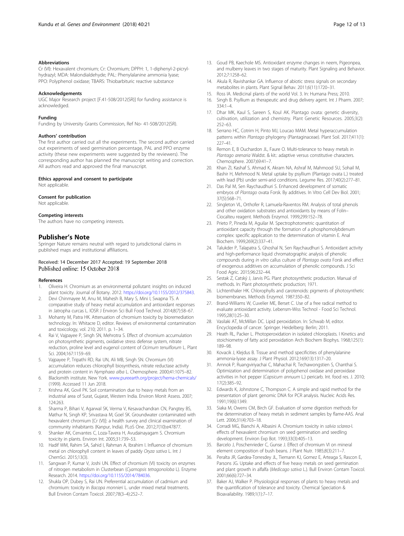#### <span id="page-11-0"></span>Abbreviations

Cr (VI): Hexavalent chromium; Cr: Chromium; DPPH: 1, 1-diphenyl-2-picrylhydrazyl; MDA: Malondialdehyde; PAL: Phenylalanine ammonia lyase; PPO: Polyphenol oxidase; TBARS: Thiobarbituric reactive substance

#### Acknowledgements

UGC Major Research project [F.41-508/2012(SR)] for funding assistance is acknowledged.

#### Funding

Funding by University Grants Commission, Ref No- 41-508/2012(SR).

#### Authors' contribution

The first author carried out all the experiments. The second author carried out experiments of seed germination percentage, PAL and PPO enzyme activity (these new experiments were suggested by the reviewers). The corresponding author has planned the manuscript writing and correction. All authors read and approved the final manuscript.

#### Ethics approval and consent to participate

Not applicable.

## Consent for publication

Not applicable.

#### Competing interests

The authors have no competing interests.

## Publisher's Note

Springer Nature remains neutral with regard to jurisdictional claims in published maps and institutional affiliations.

#### Received: 14 December 2017 Accepted: 19 September 2018 Published online: 15 October 2018

#### References

- 1. Oliveira H. Chromium as an environmental pollutant: insights on induced plant toxicity. Journal of Botany. 2012. <https://doi.org/10.1155/2012/375843>.
- 2. Devi Chinmayee M, Anu M, Mahesh B, Mary S, Mini I, Swapna TS. A comparative study of heavy metal accumulation and antioxidant responses in Jatropha curcas L. IOSR J Environ Sci Bull Food Technol. 2014;8(7):58–67.
- 3. Mohanty M, Patra HK. Attenuation of chromium toxicity by bioremediation technology. In: Whitacre D, editor. Reviews of environmental contamination and toxicology, vol. 210; 2011. p. 1–34.
- 4. Rai V, Vajpayee P, Singh SN, Mehrotra S. Effect of chromium accumulation on photosynthetic pigments, oxidative stress defense system, nitrate reduction, proline level and eugenol content of Ocimum tenuiflorum L. Plant Sci. 2004;167:1159–69.
- 5. Vajpayee P, Tripathi RD, Rai UN, Ali MB, Singh SN. Chromium (VI) accumulation reduces chlorophyll biosynthesis, nitrate reductase activity and protein content in Nymphaea alba L. Chemosphere. 2000;41:1075–82.
- 6. Blacksmith institute. New York. [www.pureearth.org/project/hema-chemicals/](http://www.pureearth.org/project/hema-chemicals/) (1999). Accessed 11 Jun 2018.
- 7. Krishna AK, Govil PK. Soil contamination due to heavy metals from an industrial area of Surat, Gujarat, Western India. Environ Monit Assess. 2007; 124:263.
- 8. Sharma P, Bihari V, Agarwal SK, Verma V, Kesavachandran CN, Pangtey BS, Mathur N, Singh KP, Srivastava M, Goel SK. Groundwater contaminated with hexavalent chromium [Cr (VI)]: a health survey and clinical examination of community inhabitants (Kanpur, India). PLoS One. 2012;7(10):e47877.
- Shanker AK, Cervantes C, Loza-Tavera H, Avudainayagam S. Chromium toxicity in plants. Environ Int. 2005;31:739–53.
- 10. Hadif WM, Rahim SA, Sahid I, Rahman A, Ibrahim I. Influence of chromium metal on chlorophyll content in leaves of paddy Oryza sativa L. Int J ChemSci. 2015;13(3).
- 11. Sangwan P, Kumar V, Joshi UN. Effect of chromium (VI) toxicity on enzymes of nitrogen metabolism in Clusterbean (Cyamopsis tetragonoloba L). Enzyme Research. 2014. [https://doi.org/10.1155/2014/784036.](https://doi.org/10.1155/2014/784036)
- 12. Shukla OP, Dubey S, Rai UN. Preferential accumulation of cadmium and chromium: toxicity in Bacopa monnieri L. under mixed metal treatments. Bull Environ Contam Toxicol. 2007;78(3–4):252–7.
- 13. Goud PB, Kaechole MS. Antioxidant enzyme changes in neem, Pigeonpea, and mulberry leaves in two stages of maturity. Plant Signaling and Behavior. 2012;7:1258–62.
- 14. Akula R, Ravishankar GA. Influence of abiotic stress signals on secondary metabolites in plants. Plant Signal Behav. 2011;6(11):1720–31.
- 15. Ross IA. Medicinal plants of the world Vol. 3. In: Humana Press; 2010.
- 16. Singh B. Psyllium as therapeutic and drug delivery agent. Int J Pharm. 2007;  $334 \cdot 1 - 4$
- 17. Dhar MK, Kaul S, Sareen S, Koul AK. Plantago ovata: genetic diversity, cultivation, utilization and chemistry. Plant Genetic Resources. 2005;3(2): 252–63.
- 18. Serrano HC, Cotrim H, Pinto MJ, Loucao MAM. Metal hyperaccumulation patterns within Plantago phylogeny (Plantaginaceae). Plant Soil. 2017;411(1): .<br>227–41
- 19. Remon E, B Ouchardon JL, Faure O. Multi-tolerance to heavy metals in Plantago arenaria Waldst. & kit.: adaptive versus constitutive characters. Chemosphere. 2007;69:41–7.
- 20. Khan ZI, Kashaf S, Ahmad K, Akram NA, Ashraf M, Mahmood SU, Sohail M, Bashir H, Mehmood N. Metal uptake by psyllium (Plantago ovata L.) treated with lead (Pb) under semi-arid conditions. Legume Res. 2017;40(2):277–81.
- 21. Das Pal M, Sen Raychaudhuri S. Enhanced development of somatic embryos of Plantago ovata Forsk. By additives. In Vitro Cell Dev Biol. 2001; 37(5):568–71.
- 22. Singleton VL, Orthofer R, Lamuela-Raventos RM. Analysis of total phenols and other oxidation substrates and antioxidants by means of Folin– Ciocalteu reagent. Methods Enzymol. 1999;299:152–78.
- 23. Prieto P, Pineda M, Aguilar M. Spectrophotometric quantitation of antioxidant capacity through the formation of a phosphomolybdenum complex: specific application to the determination of vitamin E. Anal Biochem. 1999;269(2):337–41.
- 24. Talukder P, Talapatra S, Ghoshal N, Sen Raychaudhuri S. Antioxidant activity and high-performance liquid chromatographic analysis of phenolic compounds during in vitro callus culture of Plantago ovata Forsk and effect of exogenous additives on accumulation of phenolic compounds. J Sci Food Agric. 2015;96:232–44.
- 25. Sestak Z, Catský J, Jarvis PG. Plant photosynthetic production. Manual of methods. In: Plant photosynthetic production; 1971.
- 26. Lichtenthaler HK. Chlorophylls and carotenoids: pigments of photosynthetic biomembranes. Methods Enzymol. 1987:350–82.
- 27. Brand-Williams W, Cuvelier ME, Berset C. Use of a free radical method to evaluate antioxidant activity. Lebensm-Wiss Technol - Food Sci Technol. 1995;28(1):25–30.
- 28. Vasilaki AT, McMillan DC. Lipid peroxidation. In: Schwab M, editor. Encyclopedia of cancer. Springer. Heidelberg: Berlin; 2011.
- 29. Heath RL, Packer L. Photoperoxidation in isolated chloroplasts. I Kinetics and stoichiometry of fatty acid peroxidation Arch Biochem Biophys. 1968;125(1): 189–98.
- 30. Kovacik J, Klejdus B. Tissue and method specificities of phenylalanine ammonia-lyase assay. J Plant Physiol. 2012;169(13):1317–20.
- 31. Arnnok P, Ruangviriyachai C, Mahachai R, Techawongstien S, Chanthai S. Optimization and determination of polyphenol oxidase and peroxidase activities in hot pepper (Capsicum annuum L.) pericarb. Int. food res. J. 2010; 17(2):385–92.
- 32. Edwards K, Johnstone C, Thompson C. A simple and rapid method for the presentation of plant genomic DNA for PCR analysis. Nucleic Acids Res. 1991;19(6):1349.
- 33. Siaka M, Owens CM, Birch GF. Evaluation of some digestion methods for the determination of heavy metals in sediment samples by flame-AAS. Anal Lett. 2006;31(4):703–18.
- 34. Corradi MG, Bianchi A, Albasini A. Chromium toxicity in salvia sclarea-I. effects of hexavalent chromium on seed germination and seedling development. Environ Exp Bot. 1993;33(3):405–13.
- 35. Barcelo J, Poschenrieder C, Gunse J. Effect of chromium VI on mineral element composition of bush beans. J Plant Nutr. 1985;8(3):211–7.
- 36. Peralta JR, Gardea-Torresdey JL, Tiemann KJ, Gomez E, Arteaga S, Rascon E, Parsons JG. Uptake and effects of five heavy metals on seed germination and plant growth in alfalfa (Medicago sativa L.). Bull Environ Contam Toxicol. 2001;66(6):727–34.
- 37. Baker AJ, Walker P. Physiological responses of plants to heavy metals and the quantification of tolerance and toxicity. Chemical Speciation & Bioavailability. 1989;1(1):7–17.